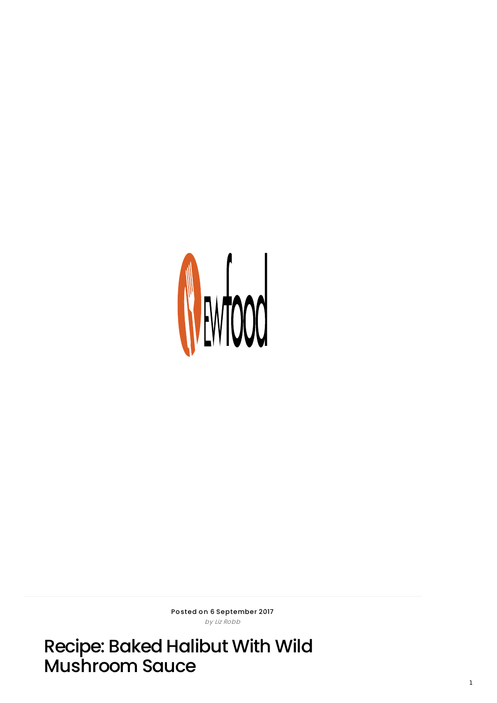

Posted on 6 September 2017 by Liz Ro bb

Recipe: Baked Halibut With Wild Mushroom Sauce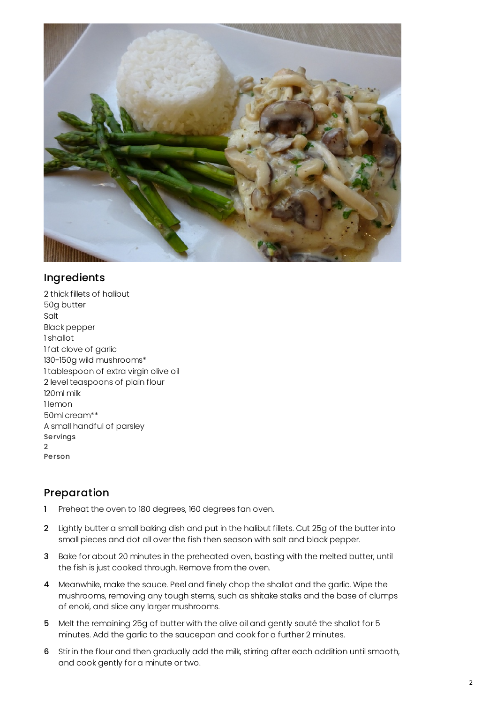

## Ingredients

2 thick fillets of halibut 50g butter Salt Black pepper 1 shallot 1 fat clove of garlic 130-150g wild mushrooms\* 1 tablespoon of extra virgin olive oil 2 level teaspoons of plain flour 120ml milk 1 lemon 50ml cream\*\* A small handful of parsley Servings  $\mathfrak{D}$ Person

## Preparation

- 1 Preheat the oven to 180 degrees, 160 degrees fan oven.
- 2 Lightly butter a small baking dish and put in the halibut fillets. Cut 25g of the butter into small pieces and dot all over the fish then season with salt and black pepper.
- 3 Bake for about 20 minutes in the preheated oven, basting with the melted butter, until the fish is just cooked through. Remove from the oven.
- 4 Meanwhile, make the sauce. Peel and finely chop the shallot and the garlic. Wipe the mushrooms, removing any tough stems, such as shitake stalks and the base of clumps of enoki, and slice any larger mushrooms.
- 5 Melt the remaining 25g of butter with the olive oil and gently sauté the shallot for 5 minutes. Add the garlic to the saucepan and cook for a further 2 minutes.
- 6 Stir in the flour and then gradually add the milk, stirring after each addition until smooth, and cook gently for a minute or two.